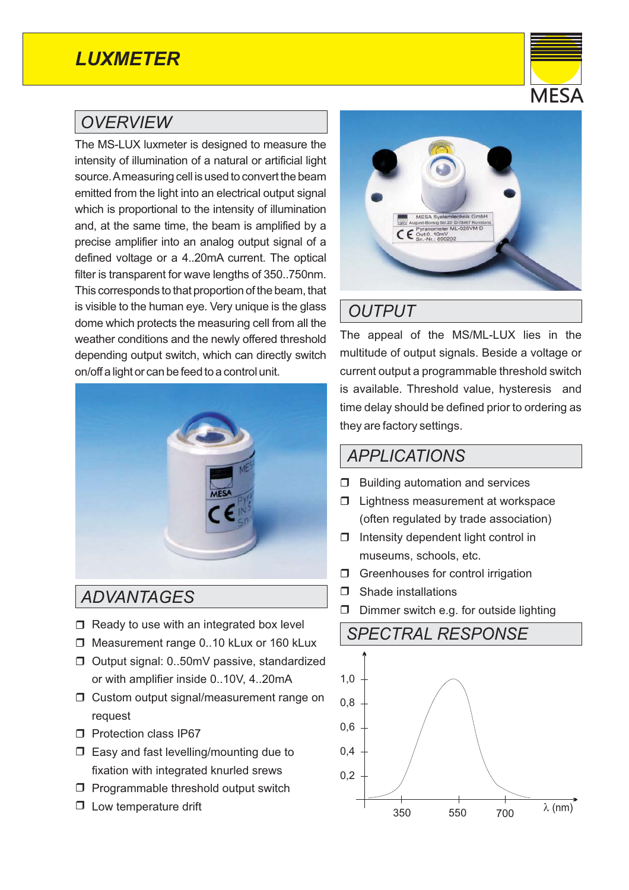# *LUXMETER*

#### *OVERVIEW*

The MS-LUX luxmeter is designed to measure the intensity of illumination of a natural or artificial light source.Ameasuring cell is used to convert the beam emitted from the light into an electrical output signal which is proportional to the intensity of illumination and, at the same time, the beam is amplified by a precise amplifier into an analog output signal of a defined voltage or a 4..20mA current. The optical filter is transparent for wave lengths of 350..750nm. This corresponds to that proportion of the beam, that is visible to the human eye. Very unique is the glass dome which protects the measuring cell from all the weather conditions and the newly offered threshold depending output switch, which can directly switch on/off a light or can be feed to a control unit.



*ADVANTAGES*

- $\Box$  Ready to use with an integrated box level
- □ Measurement range 0..10 kLux or 160 kLux
- □ Output signal: 0..50mV passive, standardized or with amplifier inside 0..10V, 4..20mA
- □ Custom output signal/measurement range on request
- D Protection class IP67
- $\Box$  Easy and fast levelling/mounting due to fixation with integrated knurled srews
- $\Box$  Programmable threshold output switch
- $\Box$  Low temperature drift



## *OUTPUT*

The appeal of the MS/ML-LUX lies in the multitude of output signals. Beside a voltage or current output a programmable threshold switch is available. Threshold value, hysteresis and time delay should be defined prior to ordering as they are factory settings.

#### *APPLICATIONS*

- **Building automation and services**
- **I** Lightness measurement at workspace (often regulated by trade association)
- $\Box$  Intensity dependent light control in museums, schools, etc.
- **G** Greenhouses for control irrigation
- **D** Shade installations
- $\Box$  Dimmer switch e.g. for outside lighting